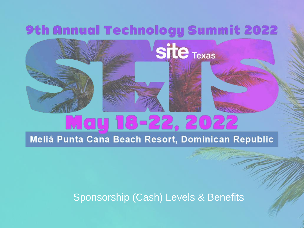# 9th Annual Technology Summit 2022



Meliá Punta Cana Beach Resort, Dominican Republic

Sponsorship (Cash) Levels & Benefits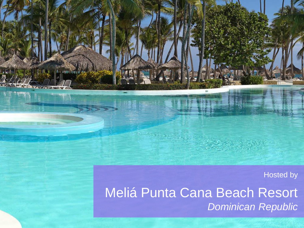Hosted by

Meliá Punta Cana Beach Resort *Dominican Republic*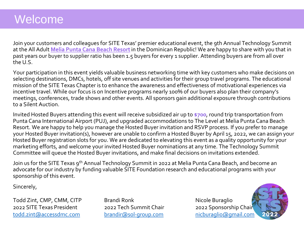## Welcome

Join your customers and colleagues for SITE Texas' premier educational event, the 9th Annual Technology Summit at the All Adult **[Melia Punta Cana Beach Resort](https://www.melia.com/en/hotels/dominican-republic/punta-cana/melia-punta-cana-beach-resort/the-level-solo-adultos.htm)**in the Dominican Republic! We are happy to share with you that in past years our buyer to supplier ratio has been 1.5 buyers for every 1 supplier. Attending buyers are from all over the U.S.

Your participation in this event yields valuable business networking time with key customers who make decisions on selecting destinations, DMCs, hotels, off site venues and activities for their group travel programs. The educational mission of the SITE Texas Chapter is to enhance the awareness and effectiveness of motivational experiences via incentive travel. While our focus is on Incentive programs nearly 100% of our buyers also plan their company's meetings, conferences, trade shows and other events. All sponsors gain additional exposure through contributions to a Silent Auction.

Invited Hosted Buyers attending this event will receive subsidized air up to **\$700**, round trip transportation from Punta Cana International Airport (PUJ), and upgraded accommodations to The Level at Melia Punta Cana Beach Resort. We are happy to help you manage the Hosted Buyer invitation and RSVP process. If you prefer to manage your Hosted Buyer invitation(s), however are unable to confirm a Hosted Buyer by April 15, 2022, we can assign your Hosted Buyer registration slots for you. We are dedicated to elevating this event as a quality opportunity for your marketing efforts, and welcome your invited Hosted Buyer nominations at any time. The Technology Summit Committee will queue the Hosted Buyer invitations, and make final decisions on invitations extended.

Join us for the SITE Texas 9<sup>th</sup> Annual Technology Summit in 2022 at Melia Punta Cana Beach, and become an advocate for our industry by funding valuable SITE Foundation research and educational programs with your sponsorship of this event.

Sincerely,

Todd Zint, CMP, CMM, CITP Brandi Ronk Nicole Buraglio 2022 SITE Texas President 2022 Tech Summit Chair 2022 Sponsorship Chair [todd.zint@accessdmc.com](mailto:todd.zint@accessdmc.com) [brandir@sol-group.com](mailto:brandir@sol-group.com) [nicburaglio@gmail.com](mailto:nicburaglio@gmail.com)

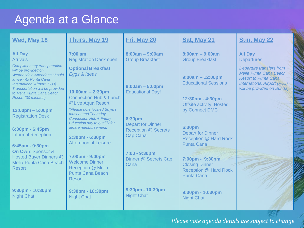## Agenda at a Glance

| <b>Wed, May 18</b>                                                                                                                                                                                                         | Thurs, May 19                                                                                                    | Fri, May 20                                            | Sat, May 21                                                                                   | Sun, May 22                                                                                                                                            |
|----------------------------------------------------------------------------------------------------------------------------------------------------------------------------------------------------------------------------|------------------------------------------------------------------------------------------------------------------|--------------------------------------------------------|-----------------------------------------------------------------------------------------------|--------------------------------------------------------------------------------------------------------------------------------------------------------|
| <b>All Day</b><br><b>Arrivals</b>                                                                                                                                                                                          | $7:00$ am<br><b>Registration Desk open</b>                                                                       | $8:00am - 9:00am$<br><b>Group Breakfast</b>            | $8:00am - 9:00am$<br><b>Group Breakfast</b>                                                   | <b>All Day</b><br><b>Departures</b>                                                                                                                    |
| <b>Complimentary transportation</b><br>will be provided on<br>Wednesday. Attendees should<br>arrive into Punta Cana<br><b>International Airport (PUJ).</b><br>Transportation will be provided<br>to Melia Punta Cana Beach | <b>Optional Breakfast</b><br>Eggs & Ideas<br>$10:00am - 2:30pm$                                                  | $9:00am - 5:00pm$<br><b>Educational Day!</b>           | $9:00am - 12:00pm$<br><b>Educational Sessions</b>                                             | Departure transfers from<br>Melia Punta Cana Beach<br><b>Resort to Punta Cana</b><br><b>International Airport (PUJ)</b><br>will be provided on Sunday. |
| Resort (30 minutes).                                                                                                                                                                                                       | <b>Connection Hub &amp; Lunch</b><br>@Live Aqua Resort                                                           |                                                        | 12:30pm - 4:30pm<br><b>Offsite activity: Hosted</b>                                           |                                                                                                                                                        |
| $12:00 \text{pm} - 5:00 \text{pm}$<br><b>Registration Desk</b>                                                                                                                                                             | <i>*Please note Hosted Buyers</i><br>must attend Thursday<br>Connection Hub + Friday                             | 6:30pm                                                 | by Connect DMC                                                                                |                                                                                                                                                        |
| 6:00pm - 6:45pm<br><b>Informal Reception</b>                                                                                                                                                                               | Education day to qualify for<br>airfare reimbursement.                                                           | <b>Depart for Dinner</b><br><b>Reception @ Secrets</b> | 6:30pm<br><b>Depart for Dinner</b>                                                            |                                                                                                                                                        |
| 6:45am - 9:30pm                                                                                                                                                                                                            | 2:30pm - 6:30pm<br>Afternoon at Leisure                                                                          | <b>Cap Cana</b>                                        | <b>Reception @ Hard Rock</b><br><b>Punta Cana</b>                                             |                                                                                                                                                        |
| <b>On Own: Sponsor &amp;</b><br><b>Hosted Buyer Dinners @</b><br>Melia Punta Cana Beach<br><b>Resort</b>                                                                                                                   | 7:00pm - 9:00pm<br><b>Welcome Dinner</b><br><b>Reception @ Melia</b><br><b>Punta Cana Beach</b><br><b>Resort</b> | 7:00 - 9:30pm<br>Dinner @ Secrets Cap<br>Cana          | 7:00pm - 9:30pm<br><b>Closing Dinner</b><br><b>Reception @ Hard Rock</b><br><b>Punta Cana</b> |                                                                                                                                                        |
| 9:30pm - 10:30pm<br><b>Night Chat</b>                                                                                                                                                                                      | $9:30$ pm - 10:30pm<br><b>Night Chat</b>                                                                         | $9:30$ pm - 10:30pm<br><b>Night Chat</b>               | 9:30pm - 10:30pm<br><b>Night Chat</b>                                                         |                                                                                                                                                        |

*Please note agenda details are subject to change*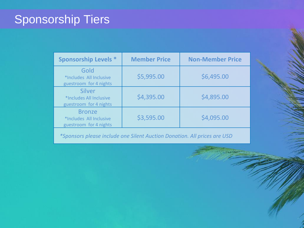# Sponsorship Tiers

| <b>Sponsorship Levels *</b>                                        | <b>Member Price</b> | <b>Non-Member Price</b> |
|--------------------------------------------------------------------|---------------------|-------------------------|
| Gold<br>*Includes All Inclusive<br>guestroom for 4 nights          | \$5,995.00          | \$6,495.00              |
| <b>Silver</b><br>*Includes All Inclusive<br>guestroom for 4 nights | \$4,395.00          | \$4,895.00              |
| <b>Bronze</b><br>*Includes All Inclusive<br>guestroom for 4 nights | \$3,595.00          | \$4,095.00              |

*\*Sponsors please include one Silent Auction Donation. All prices are USD*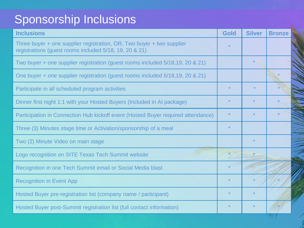# Sponsorship Inclusions

| <b>Inclusions</b>                                                                                                               | <b>Gold</b> | <b>Silver</b> | <b>Bronze</b> |
|---------------------------------------------------------------------------------------------------------------------------------|-------------|---------------|---------------|
| Three buyer + one supplier registration, OR, Two buyer + two supplier<br>registrations (guest rooms included 5/18, 19, 20 & 21) |             |               |               |
| Two buyer + one supplier registration (guest rooms included 5/18,19, 20 & 21)                                                   |             | $*$           |               |
| One buyer + one supplier registration (guest rooms included 5/18,19, 20 & 21)                                                   |             |               |               |
| Participate in all scheduled program activities                                                                                 | $\ast$      | $\ast$        |               |
| Dinner first night 1:1 with your Hosted Buyers (Included in AI package)                                                         | $*$         | $\ast$        |               |
| Participation in Connection Hub kickoff event (Hosted Buyer required attendance)                                                | $\ast$      |               |               |
| Three (3) Minutes stage time or Activation/sponsorship of a meal                                                                | $\ast$      |               |               |
| Two (2) Minute Video on main stage                                                                                              |             |               |               |
| Logo recognition on SITE Texas Tech Summit website                                                                              |             |               |               |
| Recognition in one Tech Summit email or Social Media blast                                                                      |             |               |               |
| <b>Recognition in Event App</b>                                                                                                 |             |               |               |
| Hosted Buyer pre-registration list (company name / participant)                                                                 | $\ast$      | $\ast$        |               |
| Hosted Buyer post-Summit registration list (full contact information)                                                           | $\ast$      |               |               |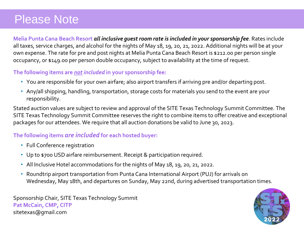## **Please Note**

**Melia Punta Cana Beach Resort** *all inclusive guest room rate is included in your sponsorship fee*. Rates include all taxes, service charges, and alcohol for the nights of May 18, 19, 20, 21, 2022. Additional nights will be at your own expense. The rate for pre and post nights at Melia Punta Cana Beach Resort is \$212.00 per person single occupancy, or \$149.00 per person double occupancy, subject to availability at the time of request.

### **The following items are** *not included* **in your sponsorship fee:**

- You are responsible for your own airfare; also airport transfers if arriving pre and/or departing post.
- Any/all shipping, handling, transportation, storage costs for materials you send to the event are your responsibility.

Stated auction values are subject to review and approval of the SITE Texas Technology Summit Committee. The SITE Texas Technology Summit Committee reserves the right to combine items to offer creative and exceptional packages for our attendees. We require that all auction donations be valid to June 30, 2023.

### **The following items** *are included* **for each hosted buyer:**

- Full Conference registration
- Up to \$700 USD airfare reimbursement. Receipt & participation required.
- All Inclusive Hotel accommodations for the nights of May 18, 19, 20, 21, 2022.
- Roundtrip airport transportation from Punta Cana International Airport (PUJ) for arrivals on Wednesday, May 18th, and departures on Sunday, May 22nd, during advertised transportation times.

Sponsorship Chair, SITE Texas Technology Summit **Pat McCain, CMP, CITP** sitetexas@gmail.com